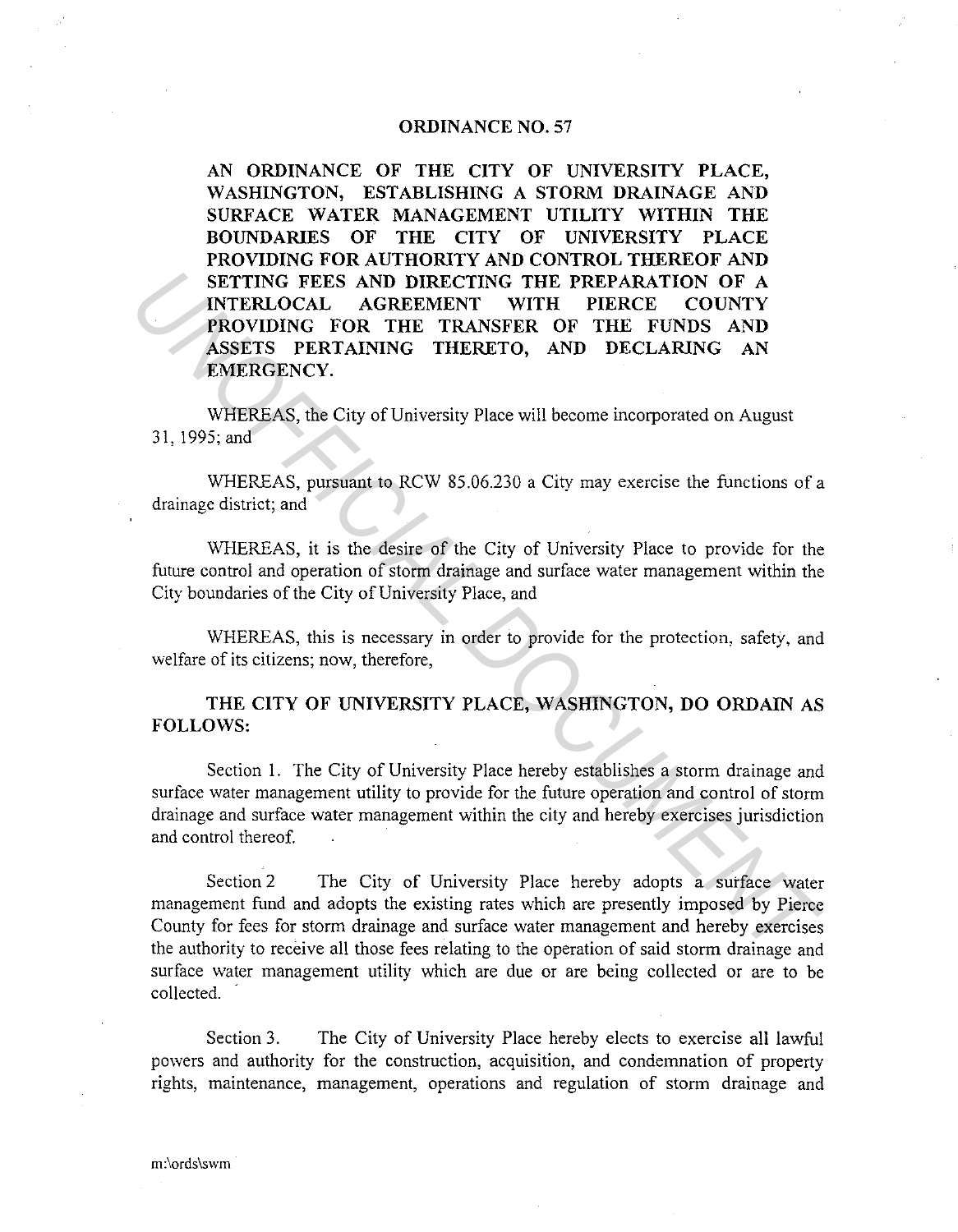## **ORDINANCE NO. 57**

**AN ORDINANCE OF THE CITY OF UNIVERSITY PLACE, WASHINGTON, ESTABLISHING A STORM DRAINAGE AND SURFACE WATER MANAGEMENT UTILITY WITHIN THE BOUNDARIES OF THE CITY OF UNIVERSITY PLACE PROVIDING FOR AUTHORITY AND CONTROL THEREOF AND SETTING FEES AND DIRECTING THE PREPARATION OF A INTERLOCAL AGREEMENT WITH PIERCE COUNTY PROVIDING FOR THE TRANSFER OF THE FUNDS AND ASSETS PERTAINING THERETO, AND DECLARING AN EMERGENCY. EXECUAL AGREEMATION OF A NEW PARTION OF A NEW PURCE COUNTY**<br>**PROVIDING FOR THE TRANSFER OF THE FUNDS AND**<br>**ASSETS PERTAINING THERETO, AND DECLARING AN**<br>**EMERGRICY.**<br>**EMERGRICY**<br>**EXECUTE:**<br>**EXECUTE TRANSFER OF THE TRANSFER** 

WHEREAS, the City of University Place will become incorporated on August 31, !995;and

WHEREAS, pursuant to RCW 85.06.230 a City may exercise the functions of a drainage district; and

WHEREAS, it is the desire of the City of University Place to provide for the future control and operation of storm drainage and surface water management within the City boundaries of the City of University Place, and

WHEREAS, this is necessary in order to provide for the protection, safety, and welfare of its citizens; now, therefore,

**THE CITY OF UNIVERSITY PLACE, WASHINGTON, DO ORDAIN AS**  FOLLOWS:

Section I. The City of University Place hereby establishes a storm drainage and surface water management utility to provide for the future operation and control of storm drainage and surface water management within the city and hereby exercises jurisdiction and control thereof.

Section 2 The City of University Place hereby adopts a surface water management fund and adopts the existing rates which are presently imposed by Pierce County for fees for storm drainage and surface water management and hereby exercises the authority to receive all those fees relating to the operation of said storm drainage and surface water management utility which are due or are being collected or are to be collected.

Section 3. The City of University Place hereby elects to exercise all lawful powers and authority for the construction, acquisition, and condemnation of property rights, maintenance, management, operations and regulation of storm drainage and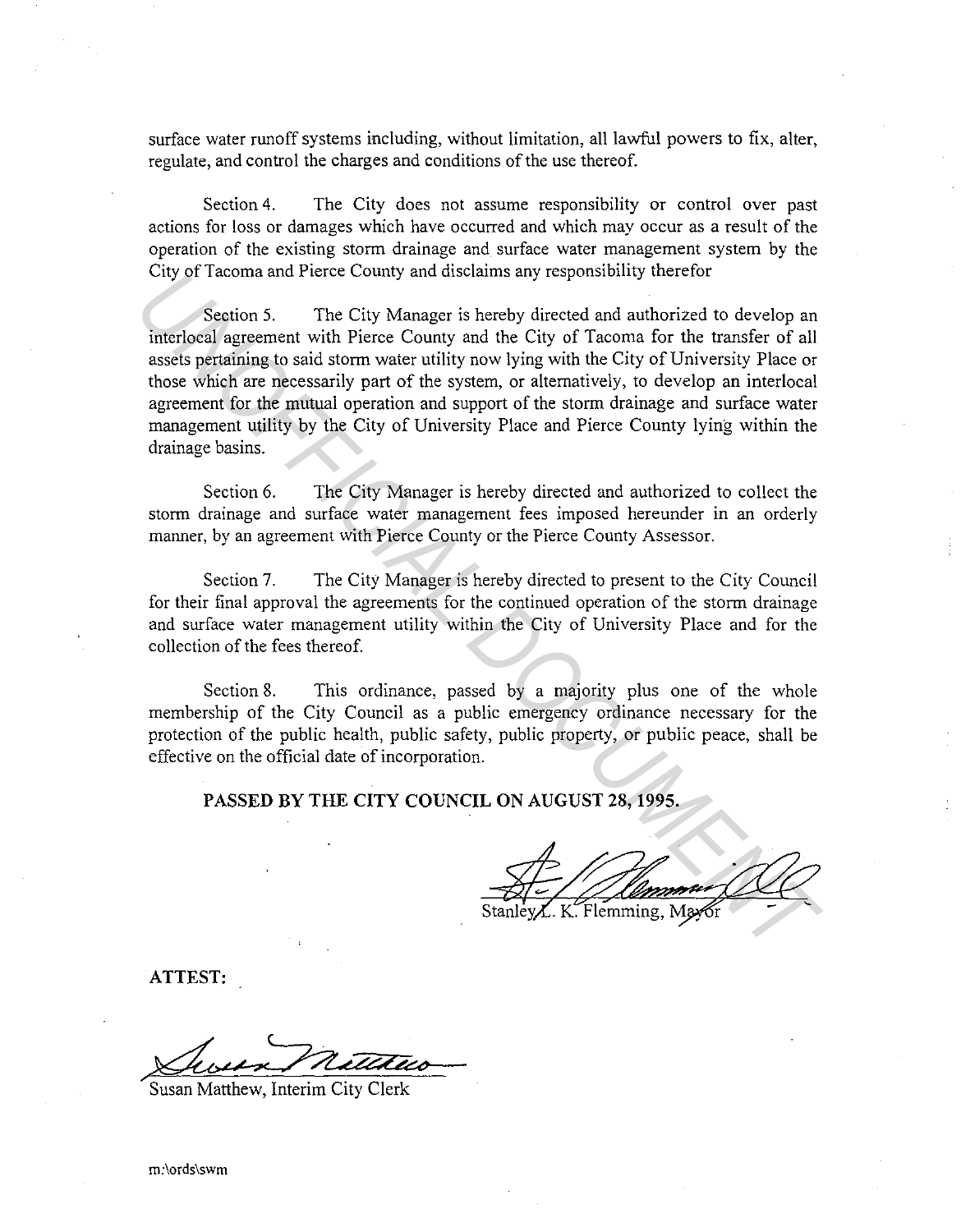surface water runoff systems including, without limitation, all lawful powers to fix, alter, regulate, and control the charges and conditions of the use thereof.

Section 4. The City does not assume responsibility or control over past actions for loss or damages which have occurred and which may occur as a result of the operation of the existing storm drainage and surface water management system by the City of Tacoma and Pierce County and disclaims any responsibility therefor

Section 5. The City Manager is hereby directed and authorized to develop an interlocal agreement with Pierce County and the City of Tacoma for the transfer of all assets pertaining to said storm water utility now lying with the City of University Place or those which are necessarily part of the system, or alternatively, to develop an interlocal agreement for the mutual operation and support of the storm drainage and surface water management utility by the City of University Place and Pierce County lying within the drainage basins. Uny or a acoma and vierce County and discussins any responsibility unercired<br>
Section 5. The City Manager is hereby directed and authorized to develop an<br>
included agreement with Pierce County and the City of Tacoma for th

Section 6. The City Manager is hereby directed and authorized to collect the storm drainage and surface water management fees imposed hereunder in an orderly manner, by an agreement with Pierce County or the Pierce County Assessor.

Section 7. The City Manager is hereby directed to present to the City Council for their final approval the agreements for the continued operation of the storm drainage and surface water management utility within the City of University Place and for the collection of the fees thereof.

Section 8. This ordinance, passed by a majority plus one of the whole membership of the City Council as a public emergency ordinance necessary for the protection of the public health, public safety, public property, or public peace, shall be effective on the official date of incorporation.

**PASSED BY THE CITY COUNCIL ON AUGUST** 28, **1995.** 

**ATTEST:** 

Sussex netters

Susan Matthew, Interim City Clerk